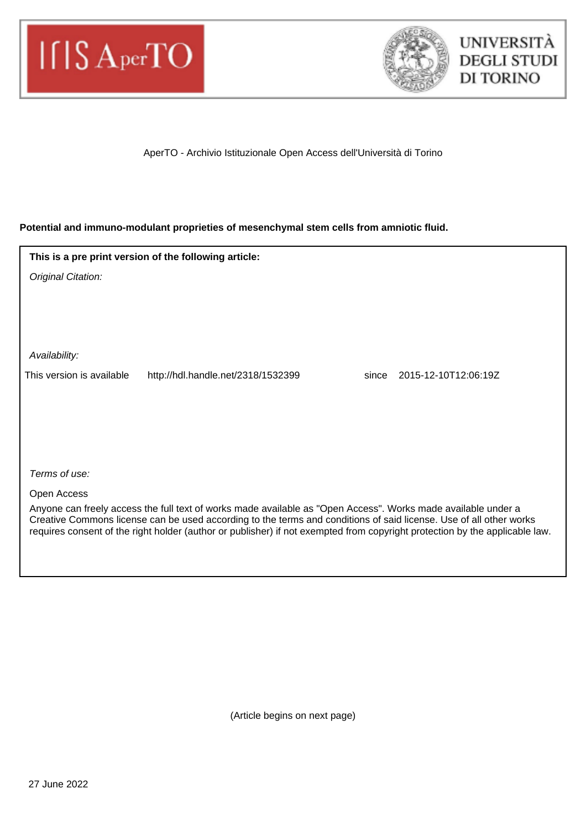



AperTO - Archivio Istituzionale Open Access dell'Università di Torino

## **Potential and immuno-modulant proprieties of mesenchymal stem cells from amniotic fluid.**

| This is a pre print version of the following article:                                                                                                                                                                                             |                                    |       |                      |
|---------------------------------------------------------------------------------------------------------------------------------------------------------------------------------------------------------------------------------------------------|------------------------------------|-------|----------------------|
| Original Citation:                                                                                                                                                                                                                                |                                    |       |                      |
|                                                                                                                                                                                                                                                   |                                    |       |                      |
|                                                                                                                                                                                                                                                   |                                    |       |                      |
|                                                                                                                                                                                                                                                   |                                    |       |                      |
| Availability:                                                                                                                                                                                                                                     |                                    |       |                      |
| This version is available                                                                                                                                                                                                                         | http://hdl.handle.net/2318/1532399 | since | 2015-12-10T12:06:19Z |
|                                                                                                                                                                                                                                                   |                                    |       |                      |
|                                                                                                                                                                                                                                                   |                                    |       |                      |
|                                                                                                                                                                                                                                                   |                                    |       |                      |
|                                                                                                                                                                                                                                                   |                                    |       |                      |
| Terms of use:                                                                                                                                                                                                                                     |                                    |       |                      |
| Open Access                                                                                                                                                                                                                                       |                                    |       |                      |
| Anyone can freely access the full text of works made available as "Open Access". Works made available under a                                                                                                                                     |                                    |       |                      |
| Creative Commons license can be used according to the terms and conditions of said license. Use of all other works<br>requires consent of the right holder (author or publisher) if not exempted from copyright protection by the applicable law. |                                    |       |                      |

(Article begins on next page)